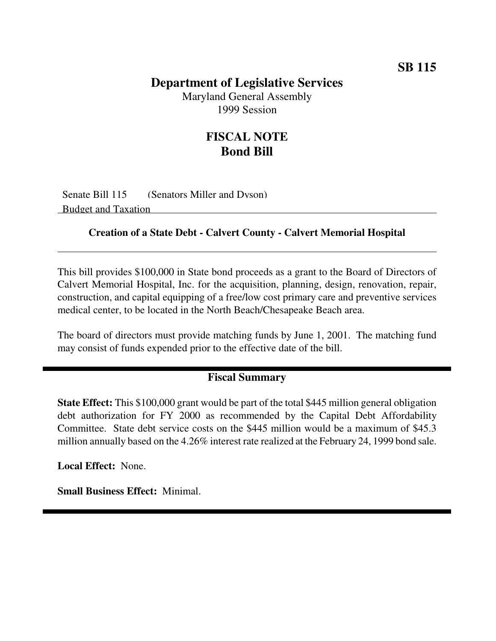## **Department of Legislative Services**

Maryland General Assembly 1999 Session

## **FISCAL NOTE Bond Bill**

Senate Bill 115 (Senators Miller and Dyson) Budget and Taxation

#### **Creation of a State Debt - Calvert County - Calvert Memorial Hospital**

This bill provides \$100,000 in State bond proceeds as a grant to the Board of Directors of Calvert Memorial Hospital, Inc. for the acquisition, planning, design, renovation, repair, construction, and capital equipping of a free/low cost primary care and preventive services medical center, to be located in the North Beach/Chesapeake Beach area.

The board of directors must provide matching funds by June 1, 2001. The matching fund may consist of funds expended prior to the effective date of the bill.

### **Fiscal Summary**

**State Effect:** This \$100,000 grant would be part of the total \$445 million general obligation debt authorization for FY 2000 as recommended by the Capital Debt Affordability Committee. State debt service costs on the \$445 million would be a maximum of \$45.3 million annually based on the 4.26% interest rate realized at the February 24, 1999 bond sale.

**Local Effect:** None.

**Small Business Effect:** Minimal.